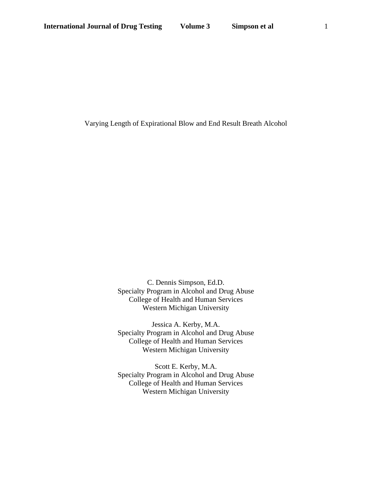Varying Length of Expirational Blow and End Result Breath Alcohol

C. Dennis Simpson, Ed.D. Specialty Program in Alcohol and Drug Abuse College of Health and Human Services Western Michigan University

Jessica A. Kerby, M.A. Specialty Program in Alcohol and Drug Abuse College of Health and Human Services Western Michigan University

Scott E. Kerby, M.A. Specialty Program in Alcohol and Drug Abuse College of Health and Human Services Western Michigan University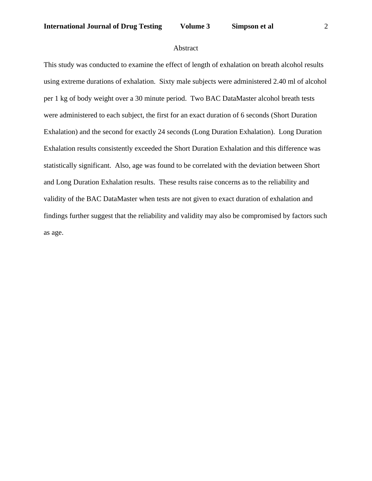# Abstract

This study was conducted to examine the effect of length of exhalation on breath alcohol results using extreme durations of exhalation. Sixty male subjects were administered 2.40 ml of alcohol per 1 kg of body weight over a 30 minute period. Two BAC DataMaster alcohol breath tests were administered to each subject, the first for an exact duration of 6 seconds (Short Duration Exhalation) and the second for exactly 24 seconds (Long Duration Exhalation). Long Duration Exhalation results consistently exceeded the Short Duration Exhalation and this difference was statistically significant. Also, age was found to be correlated with the deviation between Short and Long Duration Exhalation results. These results raise concerns as to the reliability and validity of the BAC DataMaster when tests are not given to exact duration of exhalation and findings further suggest that the reliability and validity may also be compromised by factors such as age.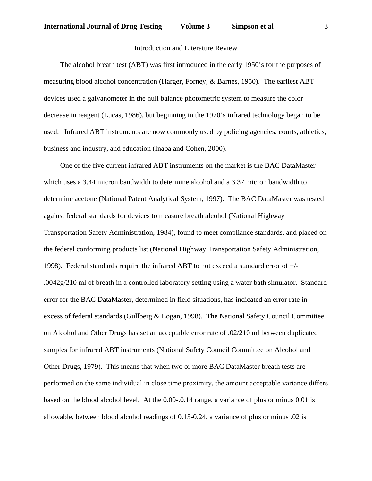# Introduction and Literature Review

 The alcohol breath test (ABT) was first introduced in the early 1950's for the purposes of measuring blood alcohol concentration (Harger, Forney, & Barnes, 1950). The earliest ABT devices used a galvanometer in the null balance photometric system to measure the color decrease in reagent (Lucas, 1986), but beginning in the 1970's infrared technology began to be used. Infrared ABT instruments are now commonly used by policing agencies, courts, athletics, business and industry, and education (Inaba and Cohen, 2000).

 One of the five current infrared ABT instruments on the market is the BAC DataMaster which uses a 3.44 micron bandwidth to determine alcohol and a 3.37 micron bandwidth to determine acetone (National Patent Analytical System, 1997). The BAC DataMaster was tested against federal standards for devices to measure breath alcohol (National Highway Transportation Safety Administration, 1984), found to meet compliance standards, and placed on the federal conforming products list (National Highway Transportation Safety Administration, 1998). Federal standards require the infrared ABT to not exceed a standard error of +/- .0042g/210 ml of breath in a controlled laboratory setting using a water bath simulator. Standard error for the BAC DataMaster, determined in field situations, has indicated an error rate in excess of federal standards (Gullberg & Logan, 1998). The National Safety Council Committee on Alcohol and Other Drugs has set an acceptable error rate of .02/210 ml between duplicated samples for infrared ABT instruments (National Safety Council Committee on Alcohol and Other Drugs, 1979). This means that when two or more BAC DataMaster breath tests are performed on the same individual in close time proximity, the amount acceptable variance differs based on the blood alcohol level. At the 0.00-.0.14 range, a variance of plus or minus 0.01 is allowable, between blood alcohol readings of 0.15-0.24, a variance of plus or minus .02 is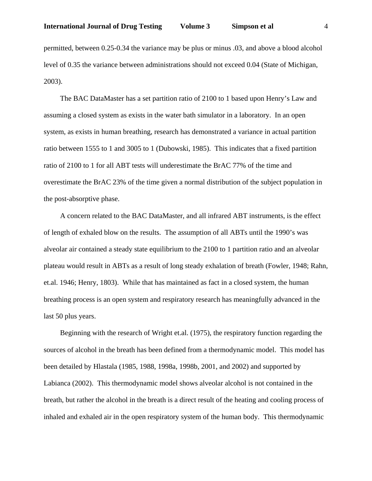permitted, between 0.25-0.34 the variance may be plus or minus .03, and above a blood alcohol level of 0.35 the variance between administrations should not exceed 0.04 (State of Michigan, 2003).

 The BAC DataMaster has a set partition ratio of 2100 to 1 based upon Henry's Law and assuming a closed system as exists in the water bath simulator in a laboratory. In an open system, as exists in human breathing, research has demonstrated a variance in actual partition ratio between 1555 to 1 and 3005 to 1 (Dubowski, 1985). This indicates that a fixed partition ratio of 2100 to 1 for all ABT tests will underestimate the BrAC 77% of the time and overestimate the BrAC 23% of the time given a normal distribution of the subject population in the post-absorptive phase.

 A concern related to the BAC DataMaster, and all infrared ABT instruments, is the effect of length of exhaled blow on the results. The assumption of all ABTs until the 1990's was alveolar air contained a steady state equilibrium to the 2100 to 1 partition ratio and an alveolar plateau would result in ABTs as a result of long steady exhalation of breath (Fowler, 1948; Rahn, et.al. 1946; Henry, 1803). While that has maintained as fact in a closed system, the human breathing process is an open system and respiratory research has meaningfully advanced in the last 50 plus years.

 Beginning with the research of Wright et.al. (1975), the respiratory function regarding the sources of alcohol in the breath has been defined from a thermodynamic model. This model has been detailed by Hlastala (1985, 1988, 1998a, 1998b, 2001, and 2002) and supported by Labianca (2002). This thermodynamic model shows alveolar alcohol is not contained in the breath, but rather the alcohol in the breath is a direct result of the heating and cooling process of inhaled and exhaled air in the open respiratory system of the human body. This thermodynamic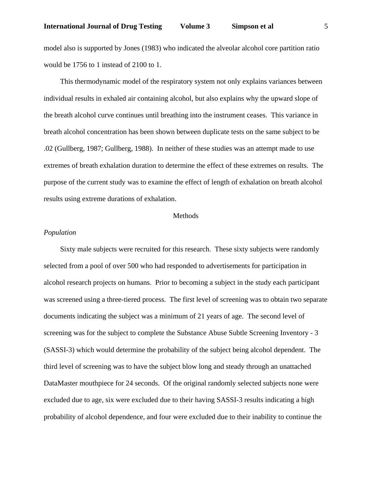# **International Journal of Drug Testing Volume 3 Simpson et al** 5

model also is supported by Jones (1983) who indicated the alveolar alcohol core partition ratio would be 1756 to 1 instead of 2100 to 1.

 This thermodynamic model of the respiratory system not only explains variances between individual results in exhaled air containing alcohol, but also explains why the upward slope of the breath alcohol curve continues until breathing into the instrument ceases. This variance in breath alcohol concentration has been shown between duplicate tests on the same subject to be .02 (Gullberg, 1987; Gullberg, 1988). In neither of these studies was an attempt made to use extremes of breath exhalation duration to determine the effect of these extremes on results. The purpose of the current study was to examine the effect of length of exhalation on breath alcohol results using extreme durations of exhalation.

#### Methods

# *Population*

 Sixty male subjects were recruited for this research. These sixty subjects were randomly selected from a pool of over 500 who had responded to advertisements for participation in alcohol research projects on humans. Prior to becoming a subject in the study each participant was screened using a three-tiered process. The first level of screening was to obtain two separate documents indicating the subject was a minimum of 21 years of age. The second level of screening was for the subject to complete the Substance Abuse Subtle Screening Inventory - 3 (SASSI-3) which would determine the probability of the subject being alcohol dependent. The third level of screening was to have the subject blow long and steady through an unattached DataMaster mouthpiece for 24 seconds. Of the original randomly selected subjects none were excluded due to age, six were excluded due to their having SASSI-3 results indicating a high probability of alcohol dependence, and four were excluded due to their inability to continue the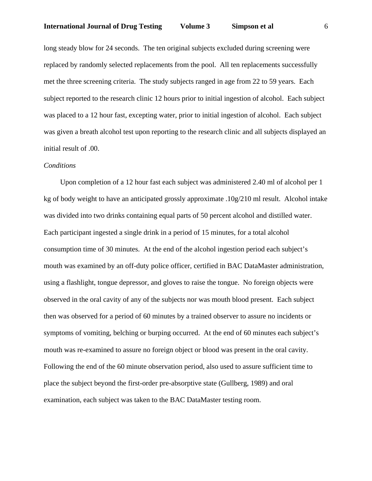# **International Journal of Drug Testing Volume 3 Simpson et al** 6

long steady blow for 24 seconds. The ten original subjects excluded during screening were replaced by randomly selected replacements from the pool. All ten replacements successfully met the three screening criteria. The study subjects ranged in age from 22 to 59 years. Each subject reported to the research clinic 12 hours prior to initial ingestion of alcohol. Each subject was placed to a 12 hour fast, excepting water, prior to initial ingestion of alcohol. Each subject was given a breath alcohol test upon reporting to the research clinic and all subjects displayed an initial result of .00.

#### *Conditions*

 Upon completion of a 12 hour fast each subject was administered 2.40 ml of alcohol per 1 kg of body weight to have an anticipated grossly approximate .10g/210 ml result. Alcohol intake was divided into two drinks containing equal parts of 50 percent alcohol and distilled water. Each participant ingested a single drink in a period of 15 minutes, for a total alcohol consumption time of 30 minutes. At the end of the alcohol ingestion period each subject's mouth was examined by an off-duty police officer, certified in BAC DataMaster administration, using a flashlight, tongue depressor, and gloves to raise the tongue. No foreign objects were observed in the oral cavity of any of the subjects nor was mouth blood present. Each subject then was observed for a period of 60 minutes by a trained observer to assure no incidents or symptoms of vomiting, belching or burping occurred. At the end of 60 minutes each subject's mouth was re-examined to assure no foreign object or blood was present in the oral cavity. Following the end of the 60 minute observation period, also used to assure sufficient time to place the subject beyond the first-order pre-absorptive state (Gullberg, 1989) and oral examination, each subject was taken to the BAC DataMaster testing room.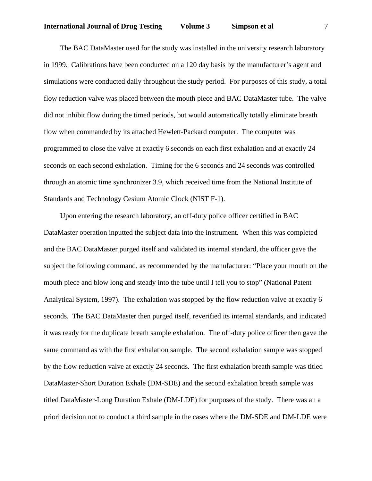The BAC DataMaster used for the study was installed in the university research laboratory in 1999. Calibrations have been conducted on a 120 day basis by the manufacturer's agent and simulations were conducted daily throughout the study period. For purposes of this study, a total flow reduction valve was placed between the mouth piece and BAC DataMaster tube. The valve did not inhibit flow during the timed periods, but would automatically totally eliminate breath flow when commanded by its attached Hewlett-Packard computer. The computer was programmed to close the valve at exactly 6 seconds on each first exhalation and at exactly 24 seconds on each second exhalation. Timing for the 6 seconds and 24 seconds was controlled through an atomic time synchronizer 3.9, which received time from the National Institute of Standards and Technology Cesium Atomic Clock (NIST F-1).

 Upon entering the research laboratory, an off-duty police officer certified in BAC DataMaster operation inputted the subject data into the instrument. When this was completed and the BAC DataMaster purged itself and validated its internal standard, the officer gave the subject the following command, as recommended by the manufacturer: "Place your mouth on the mouth piece and blow long and steady into the tube until I tell you to stop" (National Patent Analytical System, 1997). The exhalation was stopped by the flow reduction valve at exactly 6 seconds. The BAC DataMaster then purged itself, reverified its internal standards, and indicated it was ready for the duplicate breath sample exhalation. The off-duty police officer then gave the same command as with the first exhalation sample. The second exhalation sample was stopped by the flow reduction valve at exactly 24 seconds. The first exhalation breath sample was titled DataMaster-Short Duration Exhale (DM-SDE) and the second exhalation breath sample was titled DataMaster-Long Duration Exhale (DM-LDE) for purposes of the study. There was an a priori decision not to conduct a third sample in the cases where the DM-SDE and DM-LDE were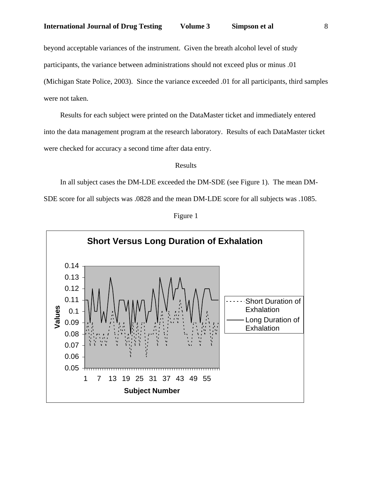beyond acceptable variances of the instrument. Given the breath alcohol level of study participants, the variance between administrations should not exceed plus or minus .01 (Michigan State Police, 2003). Since the variance exceeded .01 for all participants, third samples were not taken.

 Results for each subject were printed on the DataMaster ticket and immediately entered into the data management program at the research laboratory. Results of each DataMaster ticket were checked for accuracy a second time after data entry.

#### Results

 In all subject cases the DM-LDE exceeded the DM-SDE (see Figure 1). The mean DM-SDE score for all subjects was .0828 and the mean DM-LDE score for all subjects was .1085.



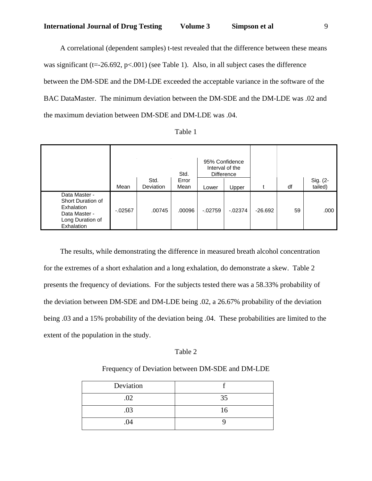A correlational (dependent samples) t-test revealed that the difference between these means was significant ( $t = -26.692$ ,  $p < .001$ ) (see Table 1). Also, in all subject cases the difference between the DM-SDE and the DM-LDE exceeded the acceptable variance in the software of the BAC DataMaster. The minimum deviation between the DM-SDE and the DM-LDE was .02 and the maximum deviation between DM-SDE and DM-LDE was .04.

|                                                                                                     | Mean       | Std.<br><b>Deviation</b> | Std.<br>Error<br>Mean | 95% Confidence<br>Lower | Interval of the<br><b>Difference</b><br>Upper |           | df | Sig. (2-<br>tailed) |
|-----------------------------------------------------------------------------------------------------|------------|--------------------------|-----------------------|-------------------------|-----------------------------------------------|-----------|----|---------------------|
| Data Master -<br>Short Duration of<br>Exhalation<br>Data Master -<br>Long Duration of<br>Exhalation | $-0.02567$ | .00745                   | .00096                | $-02759$                | $-02374$                                      | $-26.692$ | 59 | .000                |

| able |
|------|
|------|

 The results, while demonstrating the difference in measured breath alcohol concentration for the extremes of a short exhalation and a long exhalation, do demonstrate a skew. Table 2 presents the frequency of deviations. For the subjects tested there was a 58.33% probability of the deviation between DM-SDE and DM-LDE being .02, a 26.67% probability of the deviation being .03 and a 15% probability of the deviation being .04. These probabilities are limited to the extent of the population in the study.

# Table 2

# Frequency of Deviation between DM-SDE and DM-LDE

| Deviation |           |
|-----------|-----------|
| .02       | 35<br>- 1 |
| .03       | Lб        |
| .04       |           |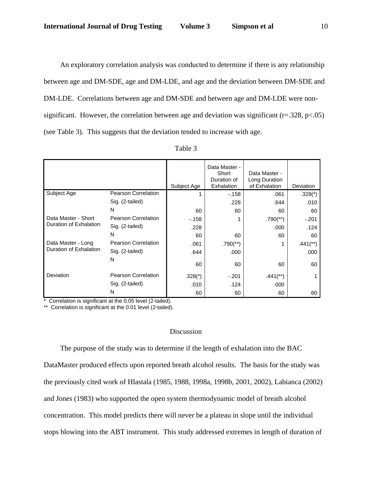An exploratory correlation analysis was conducted to determine if there is any relationship between age and DM-SDE, age and DM-LDE, and age and the deviation between DM-SDE and DM-LDE. Correlations between age and DM-SDE and between age and DM-LDE were nonsignificant. However, the correlation between age and deviation was significant ( $r = .328$ ,  $p < .05$ ) (see Table 3). This suggests that the deviation tended to increase with age.

|                        |                            | Subject Age | Data Master -<br>Short<br>Duration of<br>Exhalation | Data Master -<br>Long Duration<br>of Exhalation | Deviation              |
|------------------------|----------------------------|-------------|-----------------------------------------------------|-------------------------------------------------|------------------------|
| Subject Age            | Pearson Correlation        |             | $-158$                                              | .061                                            | $.328(*)$              |
|                        | Sig. (2-tailed)            |             | .228                                                | .644                                            | .010                   |
|                        | N                          | 60          | 60                                                  | 60                                              | 60                     |
| Data Master - Short    | Pearson Correlation        | $-158$      |                                                     | $.790$ <sup>(**)</sup> )                        | $-.201$                |
| Duration of Exhalation | Sig. (2-tailed)            | .228        |                                                     | .000                                            | .124                   |
|                        | N                          | 60          | 60                                                  | 60                                              | 60                     |
| Data Master - Long     | <b>Pearson Correlation</b> | .061        | $.790$ <sup>(**)</sup> )                            |                                                 | $.441$ <sup>**</sup> ) |
| Duration of Exhalation | Sig. (2-tailed)            | .644        | .000                                                |                                                 | .000                   |
|                        | N                          | 60          | 60                                                  | 60                                              | 60                     |
| Deviation              | Pearson Correlation        | $.328(*)$   | $-.201$                                             | $.441$ <sup>**</sup> )                          |                        |
|                        | Sig. (2-tailed)            | .010        | .124                                                | .000                                            |                        |
|                        | N                          | 60          | 60                                                  | 60                                              | 60                     |

| агне |
|------|
|------|

\* Correlation is significant at the 0.05 level (2-tailed).

\*\* Correlation is significant at the 0.01 level (2-tailed).

## Discussion

 The purpose of the study was to determine if the length of exhalation into the BAC DataMaster produced effects upon reported breath alcohol results. The basis for the study was the previously cited work of Hlastala (1985, 1988, 1998a, 1998b, 2001, 2002), Labianca (2002) and Jones (1983) who supported the open system thermodynamic model of breath alcohol concentration. This model predicts there will never be a plateau in slope until the individual stops blowing into the ABT instrument. This study addressed extremes in length of duration of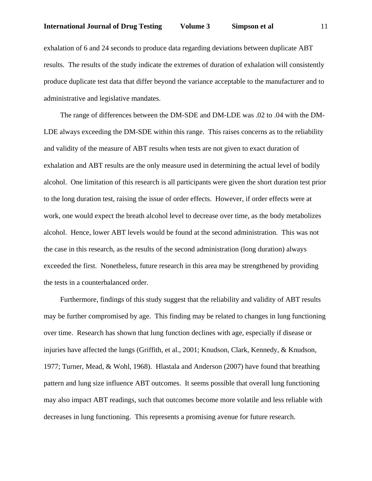exhalation of 6 and 24 seconds to produce data regarding deviations between duplicate ABT results. The results of the study indicate the extremes of duration of exhalation will consistently produce duplicate test data that differ beyond the variance acceptable to the manufacturer and to administrative and legislative mandates.

 The range of differences between the DM-SDE and DM-LDE was .02 to .04 with the DM-LDE always exceeding the DM-SDE within this range. This raises concerns as to the reliability and validity of the measure of ABT results when tests are not given to exact duration of exhalation and ABT results are the only measure used in determining the actual level of bodily alcohol. One limitation of this research is all participants were given the short duration test prior to the long duration test, raising the issue of order effects. However, if order effects were at work, one would expect the breath alcohol level to decrease over time, as the body metabolizes alcohol. Hence, lower ABT levels would be found at the second administration. This was not the case in this research, as the results of the second administration (long duration) always exceeded the first. Nonetheless, future research in this area may be strengthened by providing the tests in a counterbalanced order.

 Furthermore, findings of this study suggest that the reliability and validity of ABT results may be further compromised by age. This finding may be related to changes in lung functioning over time. Research has shown that lung function declines with age, especially if disease or injuries have affected the lungs (Griffith, et al., 2001; Knudson, Clark, Kennedy, & Knudson, 1977; Turner, Mead, & Wohl, 1968). Hlastala and Anderson (2007) have found that breathing pattern and lung size influence ABT outcomes. It seems possible that overall lung functioning may also impact ABT readings, such that outcomes become more volatile and less reliable with decreases in lung functioning. This represents a promising avenue for future research.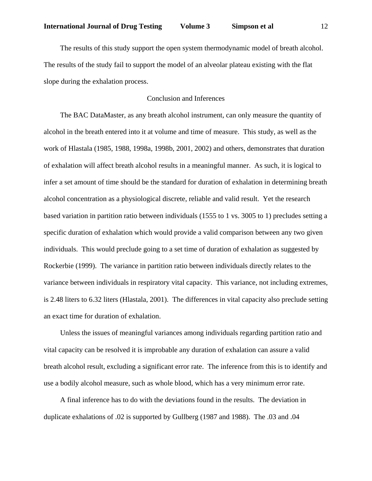The results of this study support the open system thermodynamic model of breath alcohol. The results of the study fail to support the model of an alveolar plateau existing with the flat slope during the exhalation process.

# Conclusion and Inferences

 The BAC DataMaster, as any breath alcohol instrument, can only measure the quantity of alcohol in the breath entered into it at volume and time of measure. This study, as well as the work of Hlastala (1985, 1988, 1998a, 1998b, 2001, 2002) and others, demonstrates that duration of exhalation will affect breath alcohol results in a meaningful manner. As such, it is logical to infer a set amount of time should be the standard for duration of exhalation in determining breath alcohol concentration as a physiological discrete, reliable and valid result. Yet the research based variation in partition ratio between individuals (1555 to 1 vs. 3005 to 1) precludes setting a specific duration of exhalation which would provide a valid comparison between any two given individuals. This would preclude going to a set time of duration of exhalation as suggested by Rockerbie (1999). The variance in partition ratio between individuals directly relates to the variance between individuals in respiratory vital capacity. This variance, not including extremes, is 2.48 liters to 6.32 liters (Hlastala, 2001). The differences in vital capacity also preclude setting an exact time for duration of exhalation.

 Unless the issues of meaningful variances among individuals regarding partition ratio and vital capacity can be resolved it is improbable any duration of exhalation can assure a valid breath alcohol result, excluding a significant error rate. The inference from this is to identify and use a bodily alcohol measure, such as whole blood, which has a very minimum error rate.

 A final inference has to do with the deviations found in the results. The deviation in duplicate exhalations of .02 is supported by Gullberg (1987 and 1988). The .03 and .04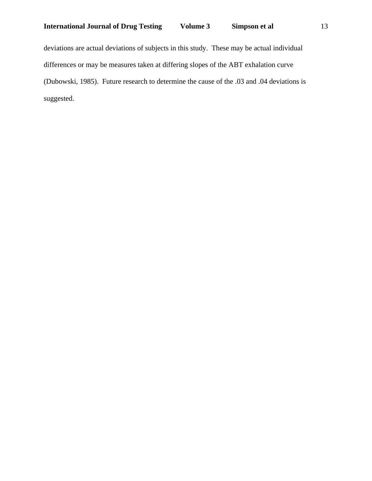deviations are actual deviations of subjects in this study. These may be actual individual differences or may be measures taken at differing slopes of the ABT exhalation curve (Dubowski, 1985). Future research to determine the cause of the .03 and .04 deviations is suggested.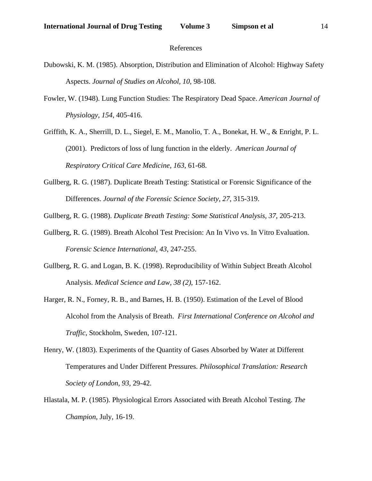#### References

- Dubowski, K. M. (1985). Absorption, Distribution and Elimination of Alcohol: Highway Safety Aspects. *Journal of Studies on Alcohol, 10*, 98-108.
- Fowler, W. (1948). Lung Function Studies: The Respiratory Dead Space. *American Journal of Physiology, 154*, 405-416.
- Griffith, K. A., Sherrill, D. L., Siegel, E. M., Manolio, T. A., Bonekat, H. W., & Enright, P. L. (2001). Predictors of loss of lung function in the elderly. *American Journal of Respiratory Critical Care Medicine, 163*, 61-68.
- Gullberg, R. G. (1987). Duplicate Breath Testing: Statistical or Forensic Significance of the Differences. *Journal of the Forensic Science Society, 27*, 315-319.

Gullberg, R. G. (1988). *Duplicate Breath Testing: Some Statistical Analysis, 37*, 205-213.

- Gullberg, R. G. (1989). Breath Alcohol Test Precision: An In Vivo vs. In Vitro Evaluation. *Forensic Science International, 43*, 247-255.
- Gullberg, R. G. and Logan, B. K. (1998). Reproducibility of Within Subject Breath Alcohol Analysis. *Medical Science and Law, 38 (2)*, 157-162.
- Harger, R. N., Forney, R. B., and Barnes, H. B. (1950). Estimation of the Level of Blood Alcohol from the Analysis of Breath. *First International Conference on Alcohol and Traffic*, Stockholm, Sweden, 107-121.
- Henry, W. (1803). Experiments of the Quantity of Gases Absorbed by Water at Different Temperatures and Under Different Pressures. *Philosophical Translation: Research Society of London, 93*, 29-42.
- Hlastala, M. P. (1985). Physiological Errors Associated with Breath Alcohol Testing. *The Champion*, July, 16-19.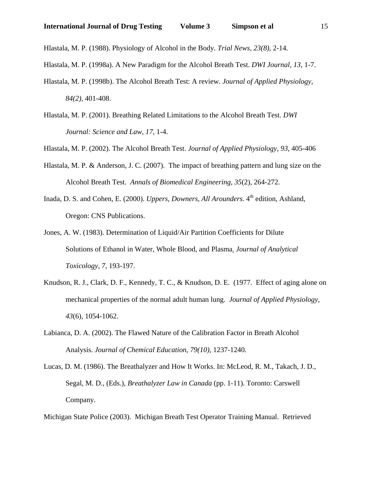Hlastala, M. P. (1988). Physiology of Alcohol in the Body. *Trial News, 23(8)*, 2-14.

Hlastala, M. P. (1998a). A New Paradigm for the Alcohol Breath Test. *DWI Journal, 13*, 1-7.

- Hlastala, M. P. (1998b). The Alcohol Breath Test: A review. *Journal of Applied Physiology, 84(2)*, 401-408.
- Hlastala, M. P. (2001). Breathing Related Limitations to the Alcohol Breath Test. *DWI Journal: Science and Law, 17*, 1-4.

Hlastala, M. P. (2002). The Alcohol Breath Test. *Journal of Applied Physiology, 93*, 405-406

- Hlastala, M. P. & Anderson, J. C. (2007). The impact of breathing pattern and lung size on the Alcohol Breath Test. *Annals of Biomedical Engineering, 35*(2), 264-272.
- Inada, D. S. and Cohen, E. (2000). *Uppers, Downers, All Arounders*, 4<sup>th</sup> edition, Ashland, Oregon: CNS Publications.
- Jones, A. W. (1983). Determination of Liquid/Air Partition Coefficients for Dilute Solutions of Ethanol in Water, Whole Blood, and Plasma*. Journal of Analytical Toxicology, 7*, 193-197.
- Knudson, R. J., Clark, D. F., Kennedy, T. C., & Knudson, D. E. (1977. Effect of aging alone on mechanical properties of the normal adult human lung. *Journal of Applied Physiology, 43*(6), 1054-1062.
- Labianca, D. A. (2002). The Flawed Nature of the Calibration Factor in Breath Alcohol Analysis. *Journal of Chemical Education, 79(10)*, 1237-1240.
- Lucas, D. M. (1986). The Breathalyzer and How It Works. In: McLeod, R. M., Takach, J. D., Segal, M. D., (Eds.), *Breathalyzer Law in Canada* (pp. 1-11). Toronto: Carswell Company.

Michigan State Police (2003). Michigan Breath Test Operator Training Manual. Retrieved